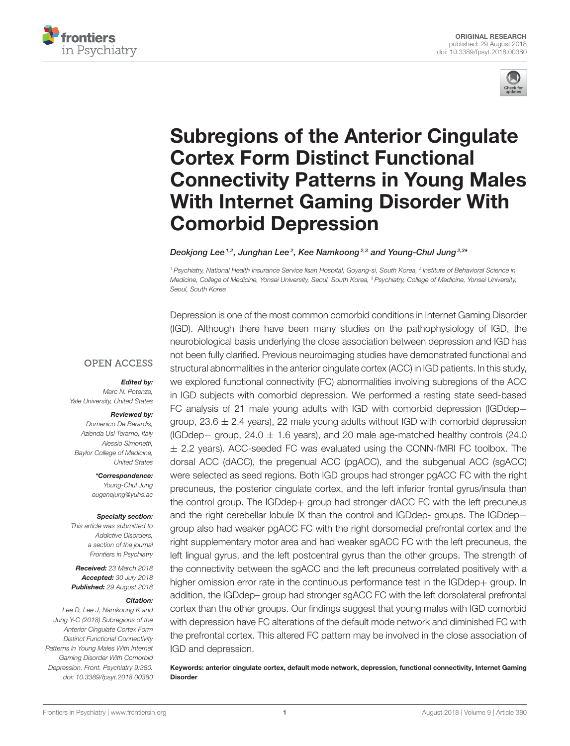



# Subregions of the Anterior Cingulate Cortex Form Distinct Functional [Connectivity Patterns in Young Males](https://www.frontiersin.org/articles/10.3389/fpsyt.2018.00380/full) With Internet Gaming Disorder With Comorbid Depression

[Deokjong Lee](http://loop.frontiersin.org/people/492907/overview)  $^{1,2}$ , Junghan Lee  $^{2}$ , Kee Namkoong  $^{2,3}$  and [Young-Chul Jung](http://loop.frontiersin.org/people/456605/overview)  $^{2,3*}$ 

*<sup>1</sup> Psychiatry, National Health Insurance Service Ilsan Hospital, Goyang-si, South Korea, <sup>2</sup> Institute of Behavioral Science in Medicine, College of Medicine, Yonsei University, Seoul, South Korea, <sup>3</sup> Psychiatry, College of Medicine, Yonsei University, Seoul, South Korea*

#### **OPEN ACCESS**

#### Edited by:

*Marc N. Potenza, Yale University, United States*

#### Reviewed by:

*Domenico De Berardis, Azienda Usl Teramo, Italy Alessio Simonetti, Baylor College of Medicine, United States*

> \*Correspondence: *Young-Chul Jung [eugenejung@yuhs.ac](mailto:eugenejung@yuhs.ac)*

#### Specialty section:

*This article was submitted to Addictive Disorders, a section of the journal Frontiers in Psychiatry*

Received: *23 March 2018* Accepted: *30 July 2018* Published: *29 August 2018*

#### Citation:

*Lee D, Lee J, Namkoong K and Jung Y-C (2018) Subregions of the Anterior Cingulate Cortex Form Distinct Functional Connectivity Patterns in Young Males With Internet Gaming Disorder With Comorbid Depression. Front. Psychiatry 9:380. doi: [10.3389/fpsyt.2018.00380](https://doi.org/10.3389/fpsyt.2018.00380)*

Depression is one of the most common comorbid conditions in Internet Gaming Disorder (IGD). Although there have been many studies on the pathophysiology of IGD, the neurobiological basis underlying the close association between depression and IGD has not been fully clarified. Previous neuroimaging studies have demonstrated functional and structural abnormalities in the anterior cingulate cortex (ACC) in IGD patients. In this study, we explored functional connectivity (FC) abnormalities involving subregions of the ACC in IGD subjects with comorbid depression. We performed a resting state seed-based FC analysis of 21 male young adults with IGD with comorbid depression (IGDdep+ group,  $23.6 \pm 2.4$  years), 22 male young adults without IGD with comorbid depression (IGDdep− group, 24.0 ± 1.6 years), and 20 male age-matched healthy controls (24.0  $\pm$  2.2 years). ACC-seeded FC was evaluated using the CONN-fMRI FC toolbox. The dorsal ACC (dACC), the pregenual ACC (pgACC), and the subgenual ACC (sgACC) were selected as seed regions. Both IGD groups had stronger pgACC FC with the right precuneus, the posterior cingulate cortex, and the left inferior frontal gyrus/insula than the control group. The IGDdep+ group had stronger dACC FC with the left precuneus and the right cerebellar lobule IX than the control and IGDdep- groups. The IGDdep+ group also had weaker pgACC FC with the right dorsomedial prefrontal cortex and the right supplementary motor area and had weaker sgACC FC with the left precuneus, the left lingual gyrus, and the left postcentral gyrus than the other groups. The strength of the connectivity between the sgACC and the left precuneus correlated positively with a higher omission error rate in the continuous performance test in the IGDdep+ group. In addition, the IGDdep– group had stronger sgACC FC with the left dorsolateral prefrontal cortex than the other groups. Our findings suggest that young males with IGD comorbid with depression have FC alterations of the default mode network and diminished FC with the prefrontal cortex. This altered FC pattern may be involved in the close association of IGD and depression.

Keywords: anterior cingulate cortex, default mode network, depression, functional connectivity, Internet Gaming Disorder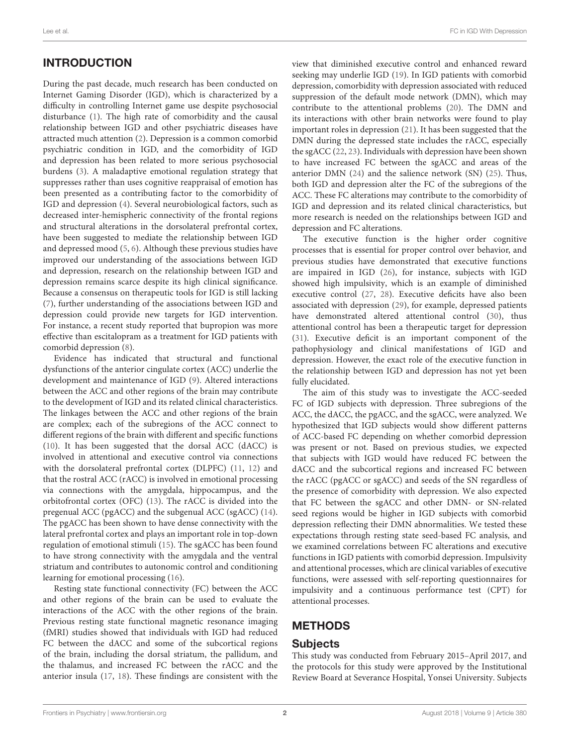# INTRODUCTION

During the past decade, much research has been conducted on Internet Gaming Disorder (IGD), which is characterized by a difficulty in controlling Internet game use despite psychosocial disturbance [\(1\)](#page-7-0). The high rate of comorbidity and the causal relationship between IGD and other psychiatric diseases have attracted much attention [\(2\)](#page-7-1). Depression is a common comorbid psychiatric condition in IGD, and the comorbidity of IGD and depression has been related to more serious psychosocial burdens [\(3\)](#page-7-2). A maladaptive emotional regulation strategy that suppresses rather than uses cognitive reappraisal of emotion has been presented as a contributing factor to the comorbidity of IGD and depression [\(4\)](#page-7-3). Several neurobiological factors, such as decreased inter-hemispheric connectivity of the frontal regions and structural alterations in the dorsolateral prefrontal cortex, have been suggested to mediate the relationship between IGD and depressed mood [\(5,](#page-7-4) [6\)](#page-7-5). Although these previous studies have improved our understanding of the associations between IGD and depression, research on the relationship between IGD and depression remains scarce despite its high clinical significance. Because a consensus on therapeutic tools for IGD is still lacking [\(7\)](#page-7-6), further understanding of the associations between IGD and depression could provide new targets for IGD intervention. For instance, a recent study reported that bupropion was more effective than escitalopram as a treatment for IGD patients with comorbid depression [\(8\)](#page-7-7).

Evidence has indicated that structural and functional dysfunctions of the anterior cingulate cortex (ACC) underlie the development and maintenance of IGD [\(9\)](#page-7-8). Altered interactions between the ACC and other regions of the brain may contribute to the development of IGD and its related clinical characteristics. The linkages between the ACC and other regions of the brain are complex; each of the subregions of the ACC connect to different regions of the brain with different and specific functions [\(10\)](#page-7-9). It has been suggested that the dorsal ACC (dACC) is involved in attentional and executive control via connections with the dorsolateral prefrontal cortex (DLPFC) [\(11,](#page-7-10) [12\)](#page-7-11) and that the rostral ACC (rACC) is involved in emotional processing via connections with the amygdala, hippocampus, and the orbitofrontal cortex (OFC) [\(13\)](#page-7-12). The rACC is divided into the pregenual ACC (pgACC) and the subgenual ACC (sgACC) [\(14\)](#page-7-13). The pgACC has been shown to have dense connectivity with the lateral prefrontal cortex and plays an important role in top-down regulation of emotional stimuli [\(15\)](#page-7-14). The sgACC has been found to have strong connectivity with the amygdala and the ventral striatum and contributes to autonomic control and conditioning learning for emotional processing [\(16\)](#page-7-15).

Resting state functional connectivity (FC) between the ACC and other regions of the brain can be used to evaluate the interactions of the ACC with the other regions of the brain. Previous resting state functional magnetic resonance imaging (fMRI) studies showed that individuals with IGD had reduced FC between the dACC and some of the subcortical regions of the brain, including the dorsal striatum, the pallidum, and the thalamus, and increased FC between the rACC and the anterior insula [\(17,](#page-7-16) [18\)](#page-7-17). These findings are consistent with the view that diminished executive control and enhanced reward seeking may underlie IGD [\(19\)](#page-7-18). In IGD patients with comorbid depression, comorbidity with depression associated with reduced suppression of the default mode network (DMN), which may contribute to the attentional problems [\(20\)](#page-7-19). The DMN and its interactions with other brain networks were found to play important roles in depression [\(21\)](#page-7-20). It has been suggested that the DMN during the depressed state includes the rACC, especially the sgACC [\(22,](#page-7-21) [23\)](#page-7-22). Individuals with depression have been shown to have increased FC between the sgACC and areas of the anterior DMN [\(24\)](#page-7-23) and the salience network (SN) [\(25\)](#page-7-24). Thus, both IGD and depression alter the FC of the subregions of the ACC. These FC alterations may contribute to the comorbidity of IGD and depression and its related clinical characteristics, but more research is needed on the relationships between IGD and depression and FC alterations.

The executive function is the higher order cognitive processes that is essential for proper control over behavior, and previous studies have demonstrated that executive functions are impaired in IGD [\(26\)](#page-7-25), for instance, subjects with IGD showed high impulsivity, which is an example of diminished executive control [\(27,](#page-7-26) [28\)](#page-7-27). Executive deficits have also been associated with depression [\(29\)](#page-7-28), for example, depressed patients have demonstrated altered attentional control [\(30\)](#page-7-29), thus attentional control has been a therapeutic target for depression [\(31\)](#page-7-30). Executive deficit is an important component of the pathophysiology and clinical manifestations of IGD and depression. However, the exact role of the executive function in the relationship between IGD and depression has not yet been fully elucidated.

The aim of this study was to investigate the ACC-seeded FC of IGD subjects with depression. Three subregions of the ACC, the dACC, the pgACC, and the sgACC, were analyzed. We hypothesized that IGD subjects would show different patterns of ACC-based FC depending on whether comorbid depression was present or not. Based on previous studies, we expected that subjects with IGD would have reduced FC between the dACC and the subcortical regions and increased FC between the rACC (pgACC or sgACC) and seeds of the SN regardless of the presence of comorbidity with depression. We also expected that FC between the sgACC and other DMN- or SN-related seed regions would be higher in IGD subjects with comorbid depression reflecting their DMN abnormalities. We tested these expectations through resting state seed-based FC analysis, and we examined correlations between FC alterations and executive functions in IGD patients with comorbid depression. Impulsivity and attentional processes, which are clinical variables of executive functions, were assessed with self-reporting questionnaires for impulsivity and a continuous performance test (CPT) for attentional processes.

# **METHODS**

## Subjects

This study was conducted from February 2015–April 2017, and the protocols for this study were approved by the Institutional Review Board at Severance Hospital, Yonsei University. Subjects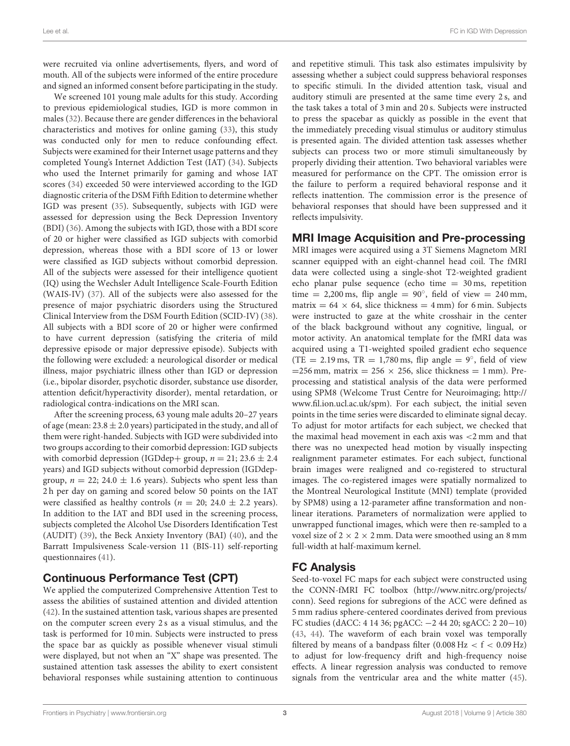were recruited via online advertisements, flyers, and word of mouth. All of the subjects were informed of the entire procedure and signed an informed consent before participating in the study.

We screened 101 young male adults for this study. According to previous epidemiological studies, IGD is more common in males [\(32\)](#page-8-0). Because there are gender differences in the behavioral characteristics and motives for online gaming [\(33\)](#page-8-1), this study was conducted only for men to reduce confounding effect. Subjects were examined for their Internet usage patterns and they completed Young's Internet Addiction Test (IAT) [\(34\)](#page-8-2). Subjects who used the Internet primarily for gaming and whose IAT scores [\(34\)](#page-8-2) exceeded 50 were interviewed according to the IGD diagnostic criteria of the DSM Fifth Edition to determine whether IGD was present [\(35\)](#page-8-3). Subsequently, subjects with IGD were assessed for depression using the Beck Depression Inventory (BDI) [\(36\)](#page-8-4). Among the subjects with IGD, those with a BDI score of 20 or higher were classified as IGD subjects with comorbid depression, whereas those with a BDI score of 13 or lower were classified as IGD subjects without comorbid depression. All of the subjects were assessed for their intelligence quotient (IQ) using the Wechsler Adult Intelligence Scale-Fourth Edition (WAIS-IV) [\(37\)](#page-8-5). All of the subjects were also assessed for the presence of major psychiatric disorders using the Structured Clinical Interview from the DSM Fourth Edition (SCID-IV) [\(38\)](#page-8-6). All subjects with a BDI score of 20 or higher were confirmed to have current depression (satisfying the criteria of mild depressive episode or major depressive episode). Subjects with the following were excluded: a neurological disorder or medical illness, major psychiatric illness other than IGD or depression (i.e., bipolar disorder, psychotic disorder, substance use disorder, attention deficit/hyperactivity disorder), mental retardation, or radiological contra-indications on the MRI scan.

After the screening process, 63 young male adults 20–27 years of age (mean:  $23.8 \pm 2.0$  years) participated in the study, and all of them were right-handed. Subjects with IGD were subdivided into two groups according to their comorbid depression: IGD subjects with comorbid depression (IGDdep+ group,  $n = 21$ ; 23.6  $\pm$  2.4 years) and IGD subjects without comorbid depression (IGDdepgroup,  $n = 22$ ; 24.0  $\pm$  1.6 years). Subjects who spent less than 2 h per day on gaming and scored below 50 points on the IAT were classified as healthy controls ( $n = 20$ ; 24.0  $\pm$  2.2 years). In addition to the IAT and BDI used in the screening process, subjects completed the Alcohol Use Disorders Identification Test (AUDIT) [\(39\)](#page-8-7), the Beck Anxiety Inventory (BAI) [\(40\)](#page-8-8), and the Barratt Impulsiveness Scale-version 11 (BIS-11) self-reporting questionnaires [\(41\)](#page-8-9).

# Continuous Performance Test (CPT)

We applied the computerized Comprehensive Attention Test to assess the abilities of sustained attention and divided attention [\(42\)](#page-8-10). In the sustained attention task, various shapes are presented on the computer screen every 2 s as a visual stimulus, and the task is performed for 10 min. Subjects were instructed to press the space bar as quickly as possible whenever visual stimuli were displayed, but not when an "X" shape was presented. The sustained attention task assesses the ability to exert consistent behavioral responses while sustaining attention to continuous and repetitive stimuli. This task also estimates impulsivity by assessing whether a subject could suppress behavioral responses to specific stimuli. In the divided attention task, visual and auditory stimuli are presented at the same time every 2 s, and the task takes a total of 3 min and 20 s. Subjects were instructed to press the spacebar as quickly as possible in the event that the immediately preceding visual stimulus or auditory stimulus is presented again. The divided attention task assesses whether subjects can process two or more stimuli simultaneously by properly dividing their attention. Two behavioral variables were measured for performance on the CPT. The omission error is the failure to perform a required behavioral response and it reflects inattention. The commission error is the presence of behavioral responses that should have been suppressed and it reflects impulsivity.

#### MRI Image Acquisition and Pre-processing

MRI images were acquired using a 3T Siemens Magnetom MRI scanner equipped with an eight-channel head coil. The fMRI data were collected using a single-shot T2-weighted gradient echo planar pulse sequence (echo time  $= 30$  ms, repetition time = 2,200 ms, flip angle =  $90^{\circ}$ , field of view = 240 mm, matrix =  $64 \times 64$ , slice thickness = 4 mm) for 6 min. Subjects were instructed to gaze at the white crosshair in the center of the black background without any cognitive, lingual, or motor activity. An anatomical template for the fMRI data was acquired using a T1-weighted spoiled gradient echo sequence  $(TE = 2.19 \text{ ms}, TR = 1,780 \text{ ms}, flip angle = 9^{\circ}, field of view)$ =256 mm, matrix = 256  $\times$  256, slice thickness = 1 mm). Preprocessing and statistical analysis of the data were performed using SPM8 (Welcome Trust Centre for Neuroimaging; [http://](http://www.fil.ion.ucl.ac.uk/spm) [www.fil.ion.ucl.ac.uk/spm\)](http://www.fil.ion.ucl.ac.uk/spm). For each subject, the initial seven points in the time series were discarded to eliminate signal decay. To adjust for motor artifacts for each subject, we checked that the maximal head movement in each axis was <2 mm and that there was no unexpected head motion by visually inspecting realignment parameter estimates. For each subject, functional brain images were realigned and co-registered to structural images. The co-registered images were spatially normalized to the Montreal Neurological Institute (MNI) template (provided by SPM8) using a 12-parameter affine transformation and nonlinear iterations. Parameters of normalization were applied to unwrapped functional images, which were then re-sampled to a voxel size of  $2 \times 2 \times 2$  mm. Data were smoothed using an 8 mm full-width at half-maximum kernel.

# FC Analysis

Seed-to-voxel FC maps for each subject were constructed using the CONN-fMRI FC toolbox [\(http://www.nitrc.org/projects/](http://www.nitrc.org/projects/conn) [conn\)](http://www.nitrc.org/projects/conn). Seed regions for subregions of the ACC were defined as 5 mm radius sphere-centered coordinates derived from previous FC studies (dACC: 4 14 36; pgACC: −2 44 20; sgACC: 2 20−10) [\(43,](#page-8-11) [44\)](#page-8-12). The waveform of each brain voxel was temporally filtered by means of a bandpass filter  $(0.008 \text{ Hz} < f < 0.09 \text{ Hz})$ to adjust for low-frequency drift and high-frequency noise effects. A linear regression analysis was conducted to remove signals from the ventricular area and the white matter [\(45\)](#page-8-13).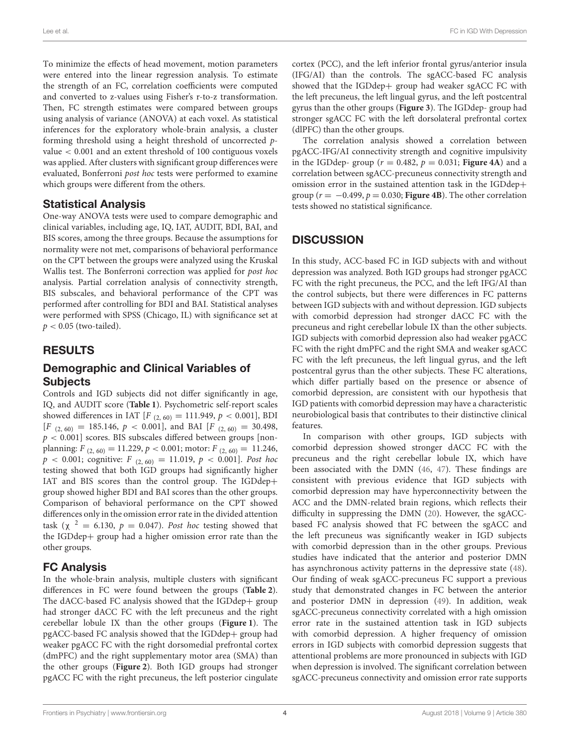To minimize the effects of head movement, motion parameters were entered into the linear regression analysis. To estimate the strength of an FC, correlation coefficients were computed and converted to z-values using Fisher's r-to-z transformation. Then, FC strength estimates were compared between groups using analysis of variance (ANOVA) at each voxel. As statistical inferences for the exploratory whole-brain analysis, a cluster forming threshold using a height threshold of uncorrected pvalue < 0.001 and an extent threshold of 100 contiguous voxels was applied. After clusters with significant group differences were evaluated, Bonferroni post hoc tests were performed to examine which groups were different from the others.

#### Statistical Analysis

One-way ANOVA tests were used to compare demographic and clinical variables, including age, IQ, IAT, AUDIT, BDI, BAI, and BIS scores, among the three groups. Because the assumptions for normality were not met, comparisons of behavioral performance on the CPT between the groups were analyzed using the Kruskal Wallis test. The Bonferroni correction was applied for post hoc analysis. Partial correlation analysis of connectivity strength, BIS subscales, and behavioral performance of the CPT was performed after controlling for BDI and BAI. Statistical analyses were performed with SPSS (Chicago, IL) with significance set at  $p < 0.05$  (two-tailed).

## RESULTS

## Demographic and Clinical Variables of **Subjects**

Controls and IGD subjects did not differ significantly in age, IQ, and AUDIT score (**[Table 1](#page-4-0)**). Psychometric self-report scales showed differences in IAT  $[F_{(2, 60)} = 111.949, p < 0.001]$ , BDI  $[F (2, 60) = 185.146, p < 0.001]$ , and BAI  $[F (2, 60) = 30.498$ ,  $p < 0.001$ ] scores. BIS subscales differed between groups [nonplanning:  $F_{(2, 60)} = 11.229, p < 0.001$ ; motor:  $F_{(2, 60)} = 11.246$ ,  $p < 0.001$ ; cognitive:  $F_{(2, 60)} = 11.019$ ,  $p < 0.001$ ]. Post hoc testing showed that both IGD groups had significantly higher IAT and BIS scores than the control group. The IGDdep+ group showed higher BDI and BAI scores than the other groups. Comparison of behavioral performance on the CPT showed differences only in the omission error rate in the divided attention task ( $\chi$  <sup>2</sup> = 6.130,  $p = 0.047$ ). Post hoc testing showed that the IGDdep+ group had a higher omission error rate than the other groups.

# FC Analysis

In the whole-brain analysis, multiple clusters with significant differences in FC were found between the groups (**[Table 2](#page-4-1)**). The dACC-based FC analysis showed that the IGDdep+ group had stronger dACC FC with the left precuneus and the right cerebellar lobule IX than the other groups (**[Figure 1](#page-5-0)**). The pgACC-based FC analysis showed that the IGDdep+ group had weaker pgACC FC with the right dorsomedial prefrontal cortex (dmPFC) and the right supplementary motor area (SMA) than the other groups (**[Figure 2](#page-5-1)**). Both IGD groups had stronger pgACC FC with the right precuneus, the left posterior cingulate cortex (PCC), and the left inferior frontal gyrus/anterior insula (IFG/AI) than the controls. The sgACC-based FC analysis showed that the IGDdep+ group had weaker sgACC FC with the left precuneus, the left lingual gyrus, and the left postcentral gyrus than the other groups (**[Figure 3](#page-6-0)**). The IGDdep- group had stronger sgACC FC with the left dorsolateral prefrontal cortex (dlPFC) than the other groups.

The correlation analysis showed a correlation between pgACC-IFG/AI connectivity strength and cognitive impulsivity in the IGDdep- group ( $r = 0.482$ ,  $p = 0.031$ ; **[Figure 4A](#page-6-1)**) and a correlation between sgACC-precuneus connectivity strength and omission error in the sustained attention task in the IGDdep+ group ( $r = -0.499$ ,  $p = 0.030$ ; **[Figure 4B](#page-6-1)**). The other correlation tests showed no statistical significance.

# **DISCUSSION**

In this study, ACC-based FC in IGD subjects with and without depression was analyzed. Both IGD groups had stronger pgACC FC with the right precuneus, the PCC, and the left IFG/AI than the control subjects, but there were differences in FC patterns between IGD subjects with and without depression. IGD subjects with comorbid depression had stronger dACC FC with the precuneus and right cerebellar lobule IX than the other subjects. IGD subjects with comorbid depression also had weaker pgACC FC with the right dmPFC and the right SMA and weaker sgACC FC with the left precuneus, the left lingual gyrus, and the left postcentral gyrus than the other subjects. These FC alterations, which differ partially based on the presence or absence of comorbid depression, are consistent with our hypothesis that IGD patients with comorbid depression may have a characteristic neurobiological basis that contributes to their distinctive clinical features.

In comparison with other groups, IGD subjects with comorbid depression showed stronger dACC FC with the precuneus and the right cerebellar lobule IX, which have been associated with the DMN [\(46,](#page-8-14) [47\)](#page-8-15). These findings are consistent with previous evidence that IGD subjects with comorbid depression may have hyperconnectivity between the ACC and the DMN-related brain regions, which reflects their difficulty in suppressing the DMN [\(20\)](#page-7-19). However, the sgACCbased FC analysis showed that FC between the sgACC and the left precuneus was significantly weaker in IGD subjects with comorbid depression than in the other groups. Previous studies have indicated that the anterior and posterior DMN has asynchronous activity patterns in the depressive state [\(48\)](#page-8-16). Our finding of weak sgACC-precuneus FC support a previous study that demonstrated changes in FC between the anterior and posterior DMN in depression [\(49\)](#page-8-17). In addition, weak sgACC-precuneus connectivity correlated with a high omission error rate in the sustained attention task in IGD subjects with comorbid depression. A higher frequency of omission errors in IGD subjects with comorbid depression suggests that attentional problems are more pronounced in subjects with IGD when depression is involved. The significant correlation between sgACC-precuneus connectivity and omission error rate supports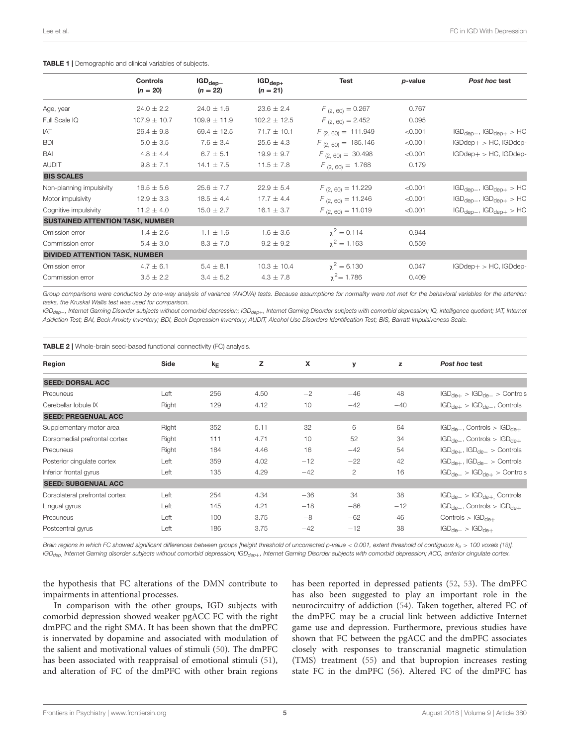|                                         | Controls<br>$(n = 20)$ | $IGD_{dep-}$<br>$(n = 22)$ | $IGD_{dep+}$<br>$(n = 21)$ | Test                    | p-value | Post hoc test                    |
|-----------------------------------------|------------------------|----------------------------|----------------------------|-------------------------|---------|----------------------------------|
| Age, year                               | $24.0 \pm 2.2$         | $24.0 \pm 1.6$             | $23.6 \pm 2.4$             | $F_{(2,60)} = 0.267$    | 0.767   |                                  |
| Full Scale IQ                           | $107.9 \pm 10.7$       | $109.9 \pm 11.9$           | $102.2 \pm 12.5$           | $F_{(2,60)} = 2.452$    | 0.095   |                                  |
| IAT                                     | $26.4 \pm 9.8$         | 69.4 $\pm$ 12.5            | $71.7 \pm 10.1$            | $F_{(2, 60)} = 111.949$ | < 0.001 | $IGD_{dep-}$ , $IGD_{dep+} > HC$ |
| <b>BDI</b>                              | $5.0 \pm 3.5$          | $7.6 \pm 3.4$              | $25.6 \pm 4.3$             | $F_{(2, 60)} = 185.146$ | < 0.001 | $IGDdep+ > HC$ , $IGDdep-$       |
| BAI                                     | $4.8 \pm 4.4$          | $6.7 \pm 5.1$              | $19.9 \pm 9.7$             | $F_{(2,60)} = 30.498$   | < 0.001 | $IGDdep+ > HC$ , $IGDdep-$       |
| <b>AUDIT</b>                            | $9.8 \pm 7.1$          | $14.1 \pm 7.5$             | $11.5 \pm 7.8$             | $F_{(2,60)} = 1.768$    | 0.179   |                                  |
| <b>BIS SCALES</b>                       |                        |                            |                            |                         |         |                                  |
| Non-planning impulsivity                | $16.5 \pm 5.6$         | $25.6 \pm 7.7$             | $22.9 \pm 5.4$             | $F_{(2,60)} = 11.229$   | < 0.001 | $IGD_{dep-}$ , $IGD_{dep+} > HC$ |
| Motor impulsivity                       | $12.9 \pm 3.3$         | $18.5 \pm 4.4$             | $17.7 \pm 4.4$             | $F_{(2,60)} = 11.246$   | < 0.001 | $IGD_{dep-}$ , $IGD_{dep+} > HC$ |
| Cognitive impulsivity                   | $11.2 \pm 4.0$         | $15.0 \pm 2.7$             | $16.1 \pm 3.7$             | $F_{(2,60)} = 11.019$   | < 0.001 | $IGD_{dep-}$ , $IGD_{dep+} > HC$ |
| <b>SUSTAINED ATTENTION TASK, NUMBER</b> |                        |                            |                            |                         |         |                                  |
| Omission error                          | $1.4 \pm 2.6$          | $1.1 \pm 1.6$              | $1.6 \pm 3.6$              | $x^2 = 0.114$           | 0.944   |                                  |
| Commission error                        | $5.4 \pm 3.0$          | $8.3 \pm 7.0$              | $9.2 \pm 9.2$              | $\chi^2 = 1.163$        | 0.559   |                                  |
| <b>DIVIDED ATTENTION TASK, NUMBER</b>   |                        |                            |                            |                         |         |                                  |
| Omission error                          | $4.7 \pm 6.1$          | $5.4 \pm 8.1$              | $10.3 \pm 10.4$            | $\chi^2 = 6.130$        | 0.047   | $IGDdep+ > HC$ , $IGDdep-$       |
| Commission error                        | $3.5 \pm 2.2$          | $3.4 \pm 5.2$              | $4.3 \pm 7.8$              | $\chi^2$ = 1.786        | 0.409   |                                  |
|                                         |                        |                            |                            |                         |         |                                  |

<span id="page-4-0"></span>TABLE 1 | Demographic and clinical variables of subjects.

*Group comparisons were conducted by one-way analysis of variance (ANOVA) tests. Because assumptions for normality were not met for the behavioral variables for the attention tasks, the Kruskal Wallis test was used for comparison.*

*IGDdep*−*, Internet Gaming Disorder subjects without comorbid depression; IGDdep*+*, Internet Gaming Disorder subjects with comorbid depression; IQ, intelligence quotient; IAT, Internet Addiction Test; BAI, Beck Anxiety Inventory; BDI, Beck Depression Inventory; AUDIT, Alcohol Use Disorders Identification Test; BIS, Barratt Impulsiveness Scale.*

<span id="page-4-1"></span>TABLE 2 | Whole-brain seed-based functional connectivity (FC) analysis.

| Region                         | Side  | $k_E$ | z    | X     | y     | z     | Post hoc test                        |  |  |
|--------------------------------|-------|-------|------|-------|-------|-------|--------------------------------------|--|--|
| <b>SEED: DORSAL ACC</b>        |       |       |      |       |       |       |                                      |  |  |
| Precuneus                      | Left  | 256   | 4.50 | $-2$  | $-46$ | 48    | $IGD_{de+} > IGD_{de-} >$ Controls   |  |  |
| Cerebellar lobule IX           | Right | 129   | 4.12 | 10    | $-42$ | $-40$ | $IGD_{de+} > IGD_{de-}$ , Controls   |  |  |
| <b>SEED: PREGENUAL ACC</b>     |       |       |      |       |       |       |                                      |  |  |
| Supplementary motor area       | Right | 352   | 5.11 | 32    | 6     | 64    | $IGD_{de-}$ , Controls > $IGD_{de+}$ |  |  |
| Dorsomedial prefrontal cortex  | Right | 111   | 4.71 | 10    | 52    | 34    | $IGD_{de-}$ , Controls > $IGD_{de+}$ |  |  |
| Precuneus                      | Right | 184   | 4.46 | 16    | $-42$ | 54    | $IGD_{de+}$ , $IGD_{de-}$ > Controls |  |  |
| Posterior cingulate cortex     | Left  | 359   | 4.02 | $-12$ | $-22$ | 42    | $IGD_{de+}$ , $IGD_{de-} >$ Controls |  |  |
| Inferior frontal gyrus         | Left  | 135   | 4.29 | $-42$ | 2     | 16    | $IGD_{de-}$ > $IGD_{de+}$ > Controls |  |  |
| <b>SEED: SUBGENUAL ACC</b>     |       |       |      |       |       |       |                                      |  |  |
| Dorsolateral prefrontal cortex | Left  | 254   | 4.34 | $-36$ | 34    | 38    | $IGD_{de-} > IGD_{de+}$ Controls     |  |  |
| Lingual gyrus                  | Left  | 145   | 4.21 | $-18$ | $-86$ | $-12$ | $IGD_{de-}$ , Controls > $IGD_{de+}$ |  |  |
| Precuneus                      | Left  | 100   | 3.75 | $-8$  | $-62$ | 46    | Controls $>$ IGD <sub>de+</sub>      |  |  |
| Postcentral gyrus              | Left  | 186   | 3.75 | $-42$ | $-12$ | 38    | $IGD_{de-} > IGD_{de+}$              |  |  |
|                                |       |       |      |       |       |       |                                      |  |  |

*Brain regions in which FC showed significant differences between groups [height threshold of uncorrected p-value* < *0.001, extent threshold of contiguous k<sup>e</sup>* > *100 voxels [\(18\)](#page-7-17)]. IGDdep*, *Internet Gaming disorder subjects without comorbid depression; IGDdep*+*, Internet Gaming Disorder subjects with comorbid depression; ACC, anterior cingulate cortex.*

the hypothesis that FC alterations of the DMN contribute to impairments in attentional processes.

In comparison with the other groups, IGD subjects with comorbid depression showed weaker pgACC FC with the right dmPFC and the right SMA. It has been shown that the dmPFC is innervated by dopamine and associated with modulation of the salient and motivational values of stimuli [\(50\)](#page-8-18). The dmPFC has been associated with reappraisal of emotional stimuli [\(51\)](#page-8-19), and alteration of FC of the dmPFC with other brain regions has been reported in depressed patients [\(52,](#page-8-20) [53\)](#page-8-21). The dmPFC has also been suggested to play an important role in the neurocircuitry of addiction [\(54\)](#page-8-22). Taken together, altered FC of the dmPFC may be a crucial link between addictive Internet game use and depression. Furthermore, previous studies have shown that FC between the pgACC and the dmPFC associates closely with responses to transcranial magnetic stimulation (TMS) treatment [\(55\)](#page-8-23) and that bupropion increases resting state FC in the dmPFC [\(56\)](#page-8-24). Altered FC of the dmPFC has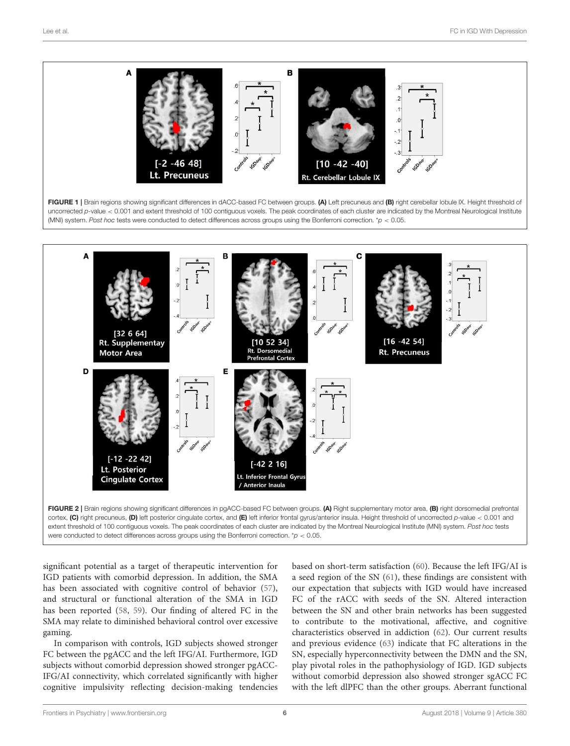<span id="page-5-0"></span>

<span id="page-5-1"></span>significant potential as a target of therapeutic intervention for IGD patients with comorbid depression. In addition, the SMA has been associated with cognitive control of behavior [\(57\)](#page-8-25), and structural or functional alteration of the SMA in IGD has been reported [\(58,](#page-8-26) [59\)](#page-8-27). Our finding of altered FC in the SMA may relate to diminished behavioral control over excessive gaming.

In comparison with controls, IGD subjects showed stronger FC between the pgACC and the left IFG/AI. Furthermore, IGD subjects without comorbid depression showed stronger pgACC-IFG/AI connectivity, which correlated significantly with higher cognitive impulsivity reflecting decision-making tendencies based on short-term satisfaction [\(60\)](#page-8-28). Because the left IFG/AI is a seed region of the SN [\(61\)](#page-8-29), these findings are consistent with our expectation that subjects with IGD would have increased FC of the rACC with seeds of the SN. Altered interaction between the SN and other brain networks has been suggested to contribute to the motivational, affective, and cognitive characteristics observed in addiction [\(62\)](#page-8-30). Our current results and previous evidence [\(63\)](#page-8-31) indicate that FC alterations in the SN, especially hyperconnectivity between the DMN and the SN, play pivotal roles in the pathophysiology of IGD. IGD subjects without comorbid depression also showed stronger sgACC FC with the left dlPFC than the other groups. Aberrant functional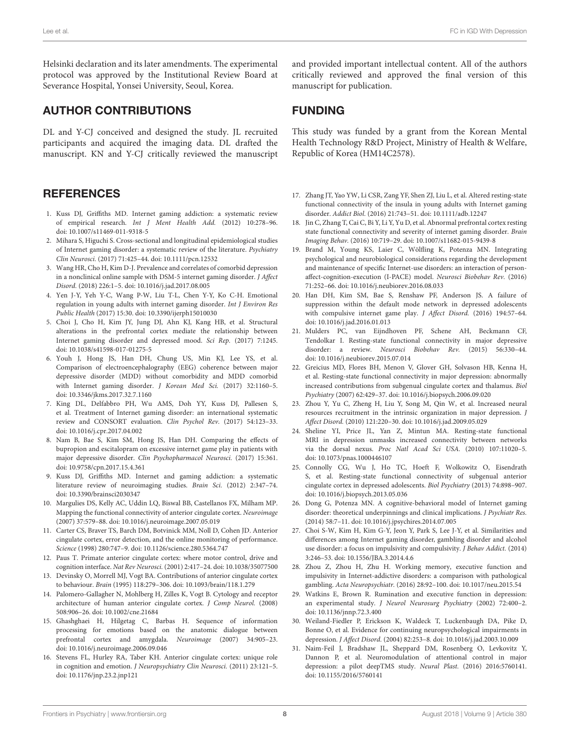Helsinki declaration and its later amendments. The experimental protocol was approved by the Institutional Review Board at Severance Hospital, Yonsei University, Seoul, Korea.

## AUTHOR CONTRIBUTIONS

DL and Y-CJ conceived and designed the study. JL recruited participants and acquired the imaging data. DL drafted the manuscript. KN and Y-CJ critically reviewed the manuscript

#### **REFERENCES**

- <span id="page-7-0"></span>1. Kuss DJ, Griffiths MD. Internet gaming addiction: a systematic review of empirical research. Int J Ment Health Add. (2012) 10:278–96. doi: [10.1007/s11469-011-9318-5](https://doi.org/10.1007/s11469-011-9318-5)
- <span id="page-7-1"></span>2. Mihara S, Higuchi S. Cross-sectional and longitudinal epidemiological studies of Internet gaming disorder: a systematic review of the literature. Psychiatry Clin Neurosci. (2017) 71:425–44. doi: [10.1111/pcn.12532](https://doi.org/10.1111/pcn.12532)
- <span id="page-7-2"></span>3. Wang HR, Cho H, Kim D-J. Prevalence and correlates of comorbid depression in a nonclinical online sample with DSM-5 internet gaming disorder. J Affect Disord. (2018) 226:1–5. doi: [10.1016/j.jad.2017.08.005](https://doi.org/10.1016/j.jad.2017.08.005)
- <span id="page-7-3"></span>4. Yen J-Y, Yeh Y-C, Wang P-W, Liu T-L, Chen Y-Y, Ko C-H. Emotional regulation in young adults with internet gaming disorder. Int J Environ Res Public Health (2017) 15:30. doi: [10.3390/ijerph15010030](https://doi.org/10.3390/ijerph15010030)
- <span id="page-7-4"></span>5. Choi J, Cho H, Kim JY, Jung DJ, Ahn KJ, Kang HB, et al. Structural alterations in the prefrontal cortex mediate the relationship between Internet gaming disorder and depressed mood. Sci Rep. (2017) 7:1245. doi: [10.1038/s41598-017-01275-5](https://doi.org/10.1038/s41598-017-01275-5)
- <span id="page-7-5"></span>6. Youh J, Hong JS, Han DH, Chung US, Min KJ, Lee YS, et al. Comparison of electroencephalography (EEG) coherence between major depressive disorder (MDD) without comorbidity and MDD comorbid with Internet gaming disorder. J Korean Med Sci. (2017) 32:1160–5. doi: [10.3346/jkms.2017.32.7.1160](https://doi.org/10.3346/jkms.2017.32.7.1160)
- <span id="page-7-6"></span>7. King DL, Delfabbro PH, Wu AMS, Doh YY, Kuss DJ, Pallesen S, et al. Treatment of Internet gaming disorder: an international systematic review and CONSORT evaluation. Clin Psychol Rev. (2017) 54:123–33. doi: [10.1016/j.cpr.2017.04.002](https://doi.org/10.1016/j.cpr.2017.04.002)
- <span id="page-7-7"></span>8. Nam B, Bae S, Kim SM, Hong JS, Han DH. Comparing the effects of bupropion and escitalopram on excessive internet game play in patients with major depressive disorder. Clin Psychopharmacol Neurosci. (2017) 15:361. doi: [10.9758/cpn.2017.15.4.361](https://doi.org/10.9758/cpn.2017.15.4.361)
- <span id="page-7-8"></span>9. Kuss DJ, Griffiths MD. Internet and gaming addiction: a systematic literature review of neuroimaging studies. Brain Sci. (2012) 2:347–74. doi: [10.3390/brainsci2030347](https://doi.org/10.3390/brainsci2030347)
- <span id="page-7-9"></span>10. Margulies DS, Kelly AC, Uddin LQ, Biswal BB, Castellanos FX, Milham MP. Mapping the functional connectivity of anterior cingulate cortex. Neuroimage (2007) 37:579–88. doi: [10.1016/j.neuroimage.2007.05.019](https://doi.org/10.1016/j.neuroimage.2007.05.019)
- <span id="page-7-10"></span>11. Carter CS, Braver TS, Barch DM, Botvinick MM, Noll D, Cohen JD. Anterior cingulate cortex, error detection, and the online monitoring of performance. Science (1998) 280:747–9. doi: [10.1126/science.280.5364.747](https://doi.org/10.1126/science.280.5364.747)
- <span id="page-7-11"></span>12. Paus T. Primate anterior cingulate cortex: where motor control, drive and cognition interface. Nat Rev Neurosci. (2001) 2:417–24. doi: [10.1038/35077500](https://doi.org/10.1038/35077500)
- <span id="page-7-12"></span>13. Devinsky O, Morrell MJ, Vogt BA. Contributions of anterior cingulate cortex to behaviour. Brain (1995) 118:279–306. doi: [10.1093/brain/118.1.279](https://doi.org/10.1093/brain/118.1.279)
- <span id="page-7-13"></span>14. Palomero-Gallagher N, Mohlberg H, Zilles K, Vogt B. Cytology and receptor architecture of human anterior cingulate cortex. J Comp Neurol. (2008) 508:906–26. doi: [10.1002/cne.21684](https://doi.org/10.1002/cne.21684)
- <span id="page-7-14"></span>15. Ghashghaei H, Hilgetag C, Barbas H. Sequence of information processing for emotions based on the anatomic dialogue between prefrontal cortex and amygdala. Neuroimage (2007) 34:905–23. doi: [10.1016/j.neuroimage.2006.09.046](https://doi.org/10.1016/j.neuroimage.2006.09.046)
- <span id="page-7-15"></span>16. Stevens FL, Hurley RA, Taber KH. Anterior cingulate cortex: unique role in cognition and emotion. J Neuropsychiatry Clin Neurosci. (2011) 23:121–5. doi: [10.1176/jnp.23.2.jnp121](https://doi.org/10.1176/jnp.23.2.jnp121)

and provided important intellectual content. All of the authors critically reviewed and approved the final version of this manuscript for publication.

## FUNDING

This study was funded by a grant from the Korean Mental Health Technology R&D Project, Ministry of Health & Welfare, Republic of Korea (HM14C2578).

- <span id="page-7-16"></span>17. Zhang JT, Yao YW, Li CSR, Zang YF, Shen ZJ, Liu L, et al. Altered resting-state functional connectivity of the insula in young adults with Internet gaming disorder. Addict Biol. (2016) 21:743–51. doi: [10.1111/adb.12247](https://doi.org/10.1111/adb.12247)
- <span id="page-7-17"></span>18. Jin C, Zhang T, Cai C, Bi Y, Li Y, Yu D, et al. Abnormal prefrontal cortex resting state functional connectivity and severity of internet gaming disorder. Brain Imaging Behav. (2016) 10:719–29. doi: [10.1007/s11682-015-9439-8](https://doi.org/10.1007/s11682-015-9439-8)
- <span id="page-7-18"></span>19. Brand M, Young KS, Laier C, Wölfling K, Potenza MN. Integrating psychological and neurobiological considerations regarding the development and maintenance of specific Internet-use disorders: an interaction of personaffect-cognition-execution (I-PACE) model. Neurosci Biobehav Rev. (2016) 71:252–66. doi: [10.1016/j.neubiorev.2016.08.033](https://doi.org/10.1016/j.neubiorev.2016.08.033)
- <span id="page-7-19"></span>20. Han DH, Kim SM, Bae S, Renshaw PF, Anderson JS. A failure of suppression within the default mode network in depressed adolescents with compulsive internet game play. J Affect Disord. (2016) 194:57–64. doi: [10.1016/j.jad.2016.01.013](https://doi.org/10.1016/j.jad.2016.01.013)
- <span id="page-7-20"></span>21. Mulders PC, van Eijndhoven PF, Schene AH, Beckmann CF, Tendolkar I. Resting-state functional connectivity in major depressive disorder: a review. Neurosci Biobehav Rev. (2015) 56:330–44. doi: [10.1016/j.neubiorev.2015.07.014](https://doi.org/10.1016/j.neubiorev.2015.07.014)
- <span id="page-7-21"></span>22. Greicius MD, Flores BH, Menon V, Glover GH, Solvason HB, Kenna H, et al. Resting-state functional connectivity in major depression: abnormally increased contributions from subgenual cingulate cortex and thalamus. Biol Psychiatry (2007) 62:429–37. doi: [10.1016/j.biopsych.2006.09.020](https://doi.org/10.1016/j.biopsych.2006.09.020)
- <span id="page-7-22"></span>23. Zhou Y, Yu C, Zheng H, Liu Y, Song M, Qin W, et al. Increased neural resources recruitment in the intrinsic organization in major depression. J Affect Disord. (2010) 121:220–30. doi: [10.1016/j.jad.2009.05.029](https://doi.org/10.1016/j.jad.2009.05.029)
- <span id="page-7-23"></span>24. Sheline YI, Price JL, Yan Z, Mintun MA. Resting-state functional MRI in depression unmasks increased connectivity between networks via the dorsal nexus. Proc Natl Acad Sci USA. (2010) 107:11020–5. doi: [10.1073/pnas.1000446107](https://doi.org/10.1073/pnas.1000446107)
- <span id="page-7-24"></span>25. Connolly CG, Wu J, Ho TC, Hoeft F, Wolkowitz O, Eisendrath S, et al. Resting-state functional connectivity of subgenual anterior cingulate cortex in depressed adolescents. Biol Psychiatry (2013) 74:898–907. doi: [10.1016/j.biopsych.2013.05.036](https://doi.org/10.1016/j.biopsych.2013.05.036)
- <span id="page-7-25"></span>26. Dong G, Potenza MN. A cognitive-behavioral model of Internet gaming disorder: theoretical underpinnings and clinical implications. J Psychiatr Res. (2014) 58:7–11. doi: [10.1016/j.jpsychires.2014.07.005](https://doi.org/10.1016/j.jpsychires.2014.07.005)
- <span id="page-7-26"></span>27. Choi S-W, Kim H, Kim G-Y, Jeon Y, Park S, Lee J-Y, et al. Similarities and differences among Internet gaming disorder, gambling disorder and alcohol use disorder: a focus on impulsivity and compulsivity. J Behav Addict. (2014) 3:246–53. doi: [10.1556/JBA.3.2014.4.6](https://doi.org/10.1556/JBA.3.2014.4.6)
- <span id="page-7-27"></span>28. Zhou Z, Zhou H, Zhu H. Working memory, executive function and impulsivity in Internet-addictive disorders: a comparison with pathological gambling. Acta Neuropsychiatr. (2016) 28:92–100. doi: [10.1017/neu.2015.54](https://doi.org/10.1017/neu.2015.54)
- <span id="page-7-28"></span>29. Watkins E, Brown R. Rumination and executive function in depression: an experimental study. J Neurol Neurosurg Psychiatry (2002) 72:400-2. doi: [10.1136/jnnp.72.3.400](https://doi.org/10.1136/jnnp.72.3.400)
- <span id="page-7-29"></span>30. Weiland-Fiedler P, Erickson K, Waldeck T, Luckenbaugh DA, Pike D, Bonne O, et al. Evidence for continuing neuropsychological impairments in depression. J Affect Disord. (2004) 82:253–8. doi: [10.1016/j.jad.2003.10.009](https://doi.org/10.1016/j.jad.2003.10.009)
- <span id="page-7-30"></span>31. Naim-Feil J, Bradshaw JL, Sheppard DM, Rosenberg O, Levkovitz Y, Dannon P, et al. Neuromodulation of attentional control in major depression: a pilot deepTMS study. Neural Plast. (2016) 2016:5760141. doi: [10.1155/2016/5760141](https://doi.org/10.1155/2016/5760141)